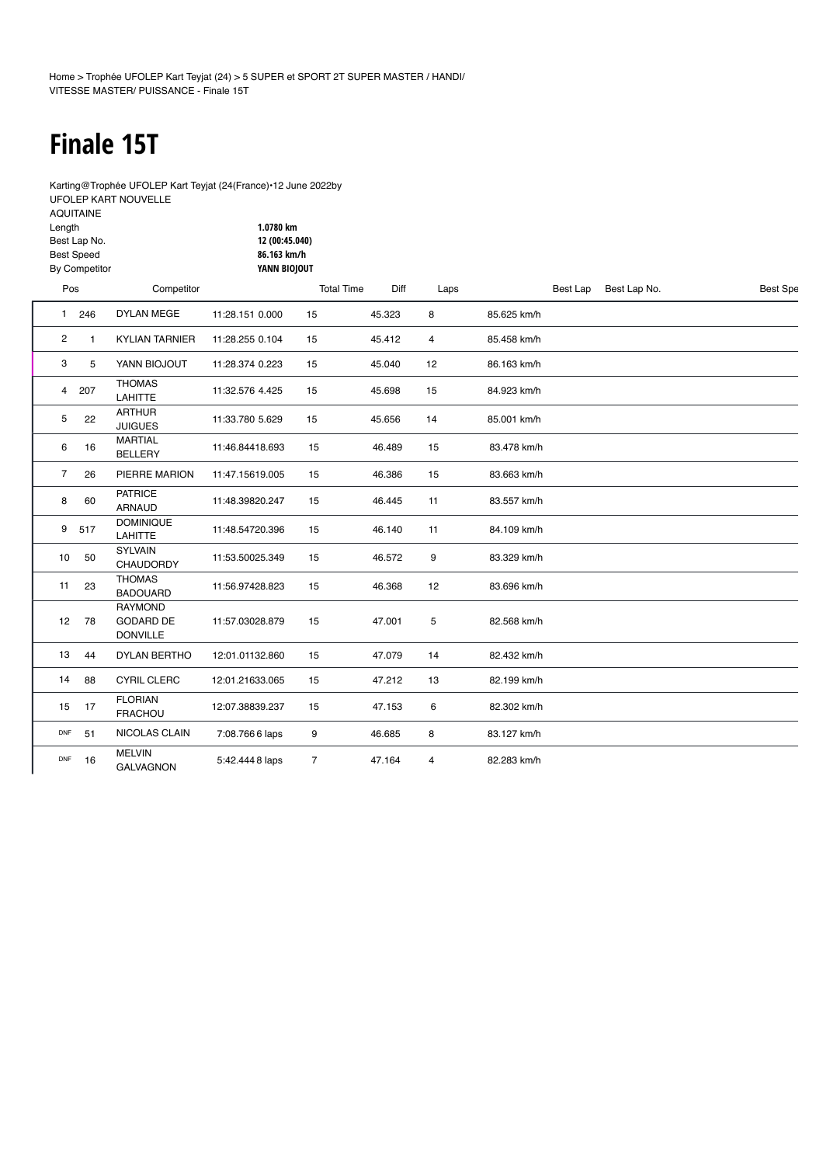# **Finale 15T**

Karting@Trophée UFOLEP Kart Teyjat (24(France)•12 June 2022by [UFOLEP KART NOUVELLE](https://speedhive.mylaps.com/Organizations/118784)

| <b>AQUITAINE</b>     |                |
|----------------------|----------------|
| Length               | 1.0780 km      |
| Best Lap No.         | 12 (00:45.040) |
| <b>Best Speed</b>    | 86.163 km/h    |
| <b>By Competitor</b> | YANN BIOJOUT   |
| _                    |                |

| Pos            |     | Competitor                                            |                 | <b>Total Time</b> | Diff   | Laps           |             | Best Lap | Best Lap No. | <b>Best Spe</b> |
|----------------|-----|-------------------------------------------------------|-----------------|-------------------|--------|----------------|-------------|----------|--------------|-----------------|
| $\mathbf{1}$   | 246 | <b>DYLAN MEGE</b>                                     | 11:28.151 0.000 | 15                | 45.323 | 8              | 85.625 km/h |          |              |                 |
| 2              | 1   | <b>KYLIAN TARNIER</b>                                 | 11:28.255 0.104 | 15                | 45.412 | $\overline{4}$ | 85.458 km/h |          |              |                 |
| 3              | 5   | YANN BIOJOUT                                          | 11:28.374 0.223 | 15                | 45.040 | 12             | 86.163 km/h |          |              |                 |
| $\overline{4}$ | 207 | <b>THOMAS</b><br>LAHITTE                              | 11:32.576 4.425 | 15                | 45.698 | 15             | 84.923 km/h |          |              |                 |
| 5              | 22  | <b>ARTHUR</b><br><b>JUIGUES</b>                       | 11:33.780 5.629 | 15                | 45.656 | 14             | 85.001 km/h |          |              |                 |
| 6              | 16  | <b>MARTIAL</b><br><b>BELLERY</b>                      | 11:46.84418.693 | 15                | 46.489 | 15             | 83.478 km/h |          |              |                 |
| $\overline{7}$ | 26  | PIERRE MARION                                         | 11:47.15619.005 | 15                | 46.386 | 15             | 83.663 km/h |          |              |                 |
| 8              | 60  | <b>PATRICE</b><br><b>ARNAUD</b>                       | 11:48.39820.247 | 15                | 46.445 | 11             | 83.557 km/h |          |              |                 |
| 9              | 517 | <b>DOMINIQUE</b><br>LAHITTE                           | 11:48.54720.396 | 15                | 46.140 | 11             | 84.109 km/h |          |              |                 |
| 10             | 50  | <b>SYLVAIN</b><br><b>CHAUDORDY</b>                    | 11:53.50025.349 | 15                | 46.572 | 9              | 83.329 km/h |          |              |                 |
| 11             | 23  | <b>THOMAS</b><br><b>BADOUARD</b>                      | 11:56.97428.823 | 15                | 46.368 | 12             | 83.696 km/h |          |              |                 |
| 12             | 78  | <b>RAYMOND</b><br><b>GODARD DE</b><br><b>DONVILLE</b> | 11:57.03028.879 | 15                | 47.001 | 5              | 82.568 km/h |          |              |                 |
| 13             | 44  | <b>DYLAN BERTHO</b>                                   | 12:01.01132.860 | 15                | 47.079 | 14             | 82.432 km/h |          |              |                 |
| 14             | 88  | <b>CYRIL CLERC</b>                                    | 12:01.21633.065 | 15                | 47.212 | 13             | 82.199 km/h |          |              |                 |
| 15             | 17  | <b>FLORIAN</b><br><b>FRACHOU</b>                      | 12:07.38839.237 | 15                | 47.153 | 6              | 82.302 km/h |          |              |                 |
| DNF            | 51  | NICOLAS CLAIN                                         | 7:08.7666 laps  | 9                 | 46.685 | 8              | 83.127 km/h |          |              |                 |
| <b>DNF</b>     | 16  | <b>MELVIN</b><br><b>GALVAGNON</b>                     | 5:42.444 8 laps | $\overline{7}$    | 47.164 | 4              | 82.283 km/h |          |              |                 |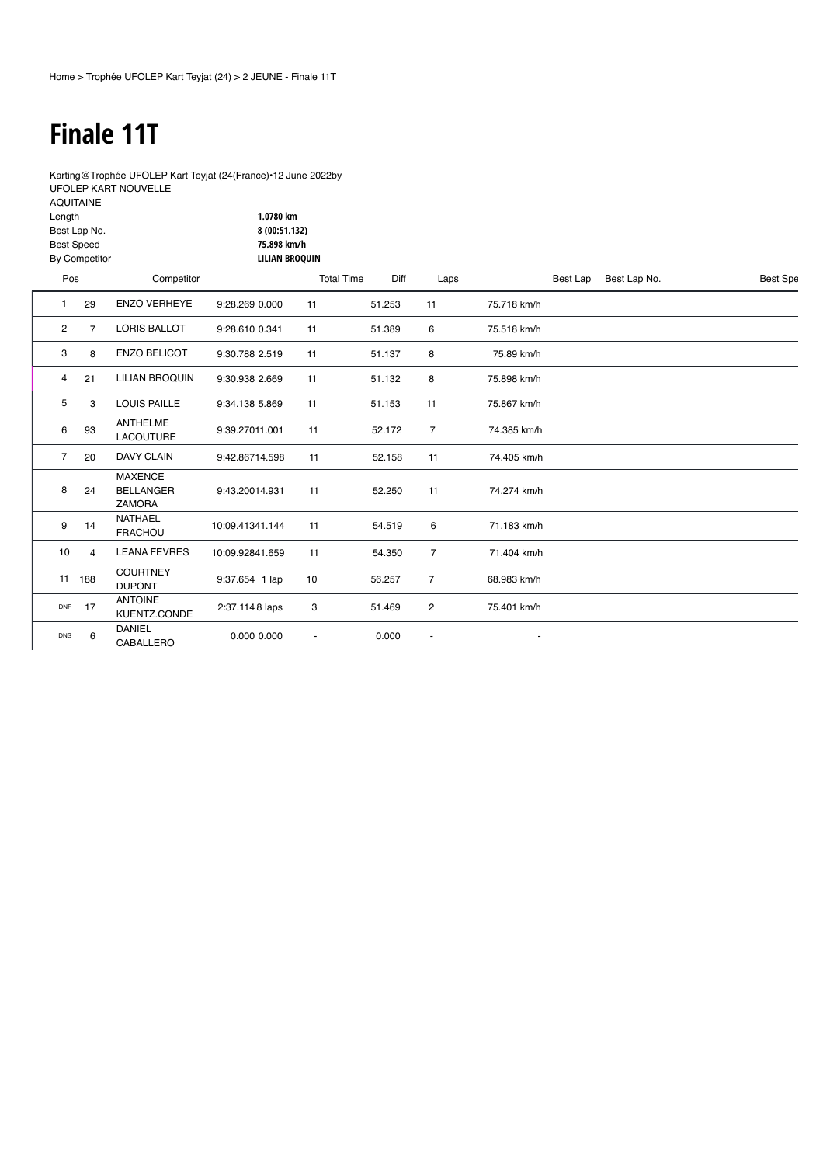## **Finale 11T**

Length

Karting@Trophée UFOLEP Kart Teyjat (24(France)•12 June 2022by [UFOLEP KART NOUVELLE](https://speedhive.mylaps.com/Organizations/118784) AQUITAINE

**1.0780 km**

|                | Best Lap No.<br><b>Best Speed</b><br>By Competitor |                                                     | 8 (00:51.132)<br>75.898 km/h<br><b>LILIAN BROQUIN</b> |                   |        |                |             |          |              |                 |
|----------------|----------------------------------------------------|-----------------------------------------------------|-------------------------------------------------------|-------------------|--------|----------------|-------------|----------|--------------|-----------------|
| Pos            |                                                    | Competitor                                          |                                                       | <b>Total Time</b> | Diff   | Laps           |             | Best Lap | Best Lap No. | <b>Best Spe</b> |
|                | 29                                                 | <b>ENZO VERHEYE</b>                                 | 9:28.269 0.000                                        | 11                | 51.253 | 11             | 75.718 km/h |          |              |                 |
| $\overline{2}$ | $\overline{7}$                                     | <b>LORIS BALLOT</b>                                 | 9:28.610 0.341                                        | 11                | 51.389 | 6              | 75.518 km/h |          |              |                 |
| 3              | 8                                                  | <b>ENZO BELICOT</b>                                 | 9:30.788 2.519                                        | 11                | 51.137 | 8              | 75.89 km/h  |          |              |                 |
| 4              | 21                                                 | <b>LILIAN BROQUIN</b>                               | 9:30.938 2.669                                        | 11                | 51.132 | 8              | 75.898 km/h |          |              |                 |
| 5              | 3                                                  | <b>LOUIS PAILLE</b>                                 | 9:34.138 5.869                                        | 11                | 51.153 | 11             | 75.867 km/h |          |              |                 |
| 6              | 93                                                 | <b>ANTHELME</b><br><b>LACOUTURE</b>                 | 9:39.27011.001                                        | 11                | 52.172 | $\overline{7}$ | 74.385 km/h |          |              |                 |
| $\overline{7}$ | 20                                                 | <b>DAVY CLAIN</b>                                   | 9:42.86714.598                                        | 11                | 52.158 | 11             | 74.405 km/h |          |              |                 |
| 8              | 24                                                 | <b>MAXENCE</b><br><b>BELLANGER</b><br><b>ZAMORA</b> | 9:43.20014.931                                        | 11                | 52.250 | 11             | 74.274 km/h |          |              |                 |
| 9              | 14                                                 | <b>NATHAEL</b><br><b>FRACHOU</b>                    | 10:09.41341.144                                       | 11                | 54.519 | 6              | 71.183 km/h |          |              |                 |
| 10             | 4                                                  | <b>LEANA FEVRES</b>                                 | 10:09.92841.659                                       | 11                | 54.350 | 7              | 71.404 km/h |          |              |                 |
|                | 11 188                                             | <b>COURTNEY</b><br><b>DUPONT</b>                    | 9:37.654 1 lap                                        | 10                | 56.257 | $\overline{7}$ | 68.983 km/h |          |              |                 |
| DNF            | 17                                                 | <b>ANTOINE</b><br>KUENTZ.CONDE                      | 2:37.1148 laps                                        | 3                 | 51.469 | 2              | 75.401 km/h |          |              |                 |
| <b>DNS</b>     | 6                                                  | <b>DANIEL</b><br>CABALLERO                          | 0.000 0.000                                           |                   | 0.000  |                |             |          |              |                 |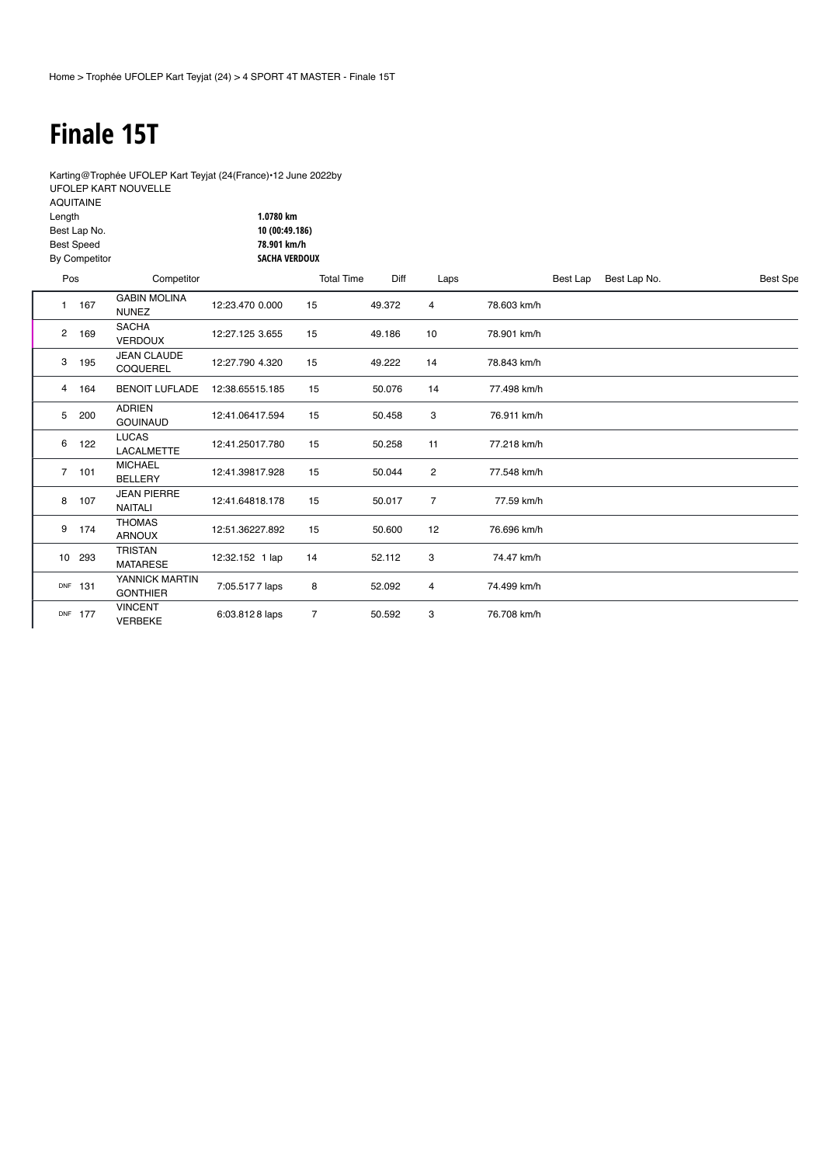#### **Finale 15T**

9 174 THOMAS

<sup>10</sup> <sup>293</sup> TRISTAN

DNF 177

DNF 131 [YANNICK MARTIN](https://speedhive.mylaps.com/Sessions/6606060/LapTimes?pos=11)<br>GONTHIER

VINCENT

Karting@Trophée UFOLEP Kart Teyjat (24(France)•12 June 2022by [UFOLEP KART NOUVELLE](https://speedhive.mylaps.com/Organizations/118784) AQUITAINE

| Length         | Best Lap No.<br><b>Best Speed</b><br>By Competitor |                                       | 1.0780 km<br>10 (00:49.186)<br>78.901 km/h<br>SACHA VERDOUX |                   |        |                |             |          |              |                 |
|----------------|----------------------------------------------------|---------------------------------------|-------------------------------------------------------------|-------------------|--------|----------------|-------------|----------|--------------|-----------------|
| Pos            |                                                    | Competitor                            |                                                             | <b>Total Time</b> | Diff   | Laps           |             | Best Lap | Best Lap No. | <b>Best Spe</b> |
|                | 167                                                | <b>GABIN MOLINA</b><br><b>NUNEZ</b>   | 12:23.470 0.000                                             | 15                | 49.372 | 4              | 78.603 km/h |          |              |                 |
| 2              | 169                                                | <b>SACHA</b><br><b>VERDOUX</b>        | 12:27.125 3.655                                             | 15                | 49.186 | 10             | 78.901 km/h |          |              |                 |
| 3              | 195                                                | <b>JEAN CLAUDE</b><br><b>COQUEREL</b> | 12:27.790 4.320                                             | 15                | 49.222 | 14             | 78.843 km/h |          |              |                 |
| 4              | 164                                                | <b>BENOIT LUFLADE</b>                 | 12:38.65515.185                                             | 15                | 50.076 | 14             | 77.498 km/h |          |              |                 |
| 5              | 200                                                | <b>ADRIEN</b><br><b>GOUINAUD</b>      | 12:41.06417.594                                             | 15                | 50.458 | 3              | 76.911 km/h |          |              |                 |
| 6              | 122                                                | <b>LUCAS</b><br><b>LACALMETTE</b>     | 12:41.25017.780                                             | 15                | 50.258 | 11             | 77.218 km/h |          |              |                 |
| $\overline{7}$ | 101                                                | <b>MICHAEL</b><br><b>BELLERY</b>      | 12:41.39817.928                                             | 15                | 50.044 | $\overline{c}$ | 77.548 km/h |          |              |                 |
| 8              | 107                                                | <b>JEAN PIERRE</b><br>NAITALI         | 12:41.64818.178                                             | 15                | 50.017 | $\overline{7}$ | 77.59 km/h  |          |              |                 |

12:32.152 1 lap 14 52.112 3 74.47 km/h

ARNOUX [12:51.36227.892](https://speedhive.mylaps.com/Sessions/6606060/LapTimes?pos=9) <sup>15</sup> 50.600 <sup>12</sup> 76.696 km/h

AMA AMA AMA AMA AND THE 7.05.5177 laps 8 52.092 4 74.499 km/h

VERBEKE 6:03.812 8 laps <sup>7</sup> 50.592 <sup>3</sup> [76.708 km/h](https://speedhive.mylaps.com/Sessions/6606060/LapTimes?pos=12)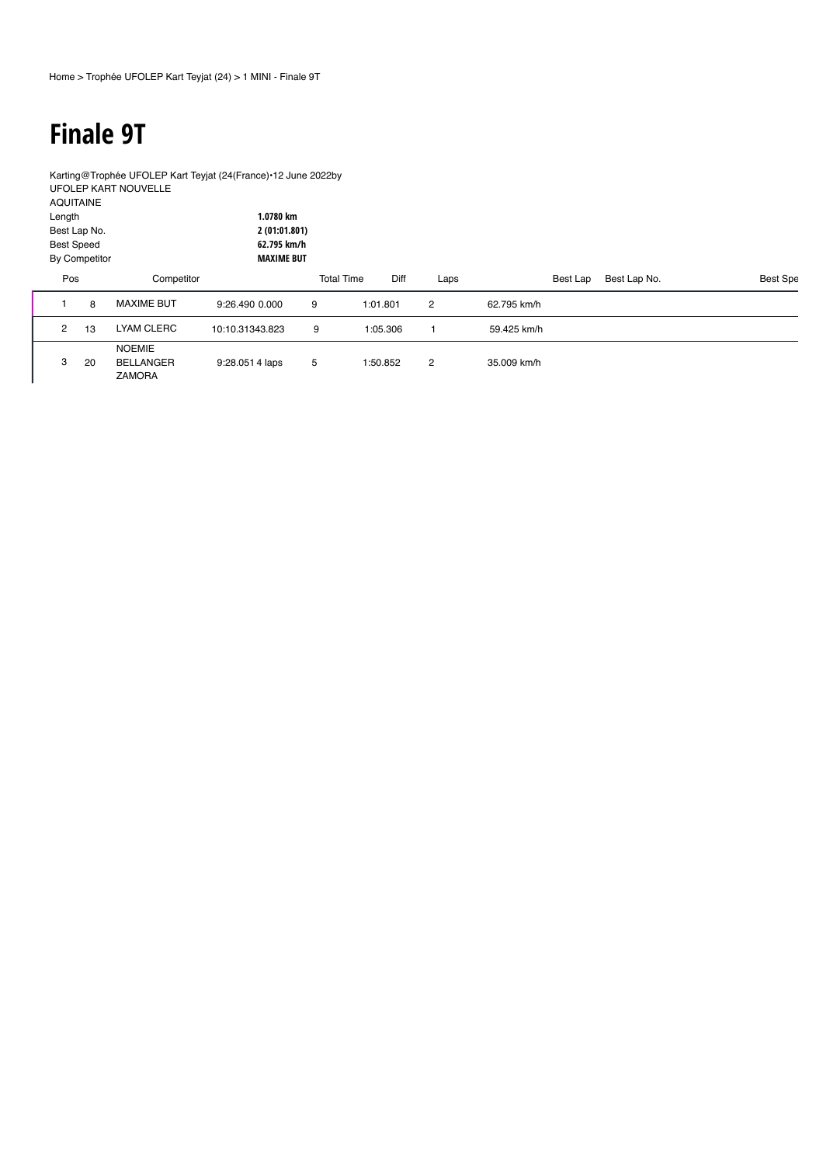# **Finale 9T**

Karting@Trophée UFOLEP Kart Teyjat (24(France)•12 June 2022by [UFOLEP KART NOUVELLE](https://speedhive.mylaps.com/Organizations/118784) AQUITAINE **1.0780 km**

| Length<br><b>Best Speed</b> | Best Lap No.<br>By Competitor |                                             | 1.0780 km<br>2 (01:01.801)<br>62.795 km/h<br><b>MAXIME BUT</b> |   |                   |          |                |             |          |              |          |
|-----------------------------|-------------------------------|---------------------------------------------|----------------------------------------------------------------|---|-------------------|----------|----------------|-------------|----------|--------------|----------|
| Pos                         |                               | Competitor                                  |                                                                |   | <b>Total Time</b> | Diff     | Laps           |             | Best Lap | Best Lap No. | Best Spe |
|                             | 8                             | <b>MAXIME BUT</b>                           | 9:26.490 0.000                                                 | 9 |                   | 1:01.801 | $\overline{2}$ | 62.795 km/h |          |              |          |
| $\overline{2}$              | 13                            | LYAM CLERC                                  | 10:10.31343.823                                                | 9 |                   | 1:05.306 |                | 59.425 km/h |          |              |          |
| 3                           | 20                            | <b>NOEMIE</b><br>BELLANGER<br><b>ZAMORA</b> | $9:28.0514$ laps                                               | 5 |                   | 1:50.852 | $\overline{2}$ | 35.009 km/h |          |              |          |